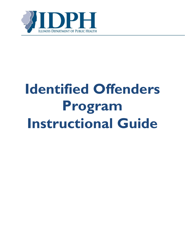

# **Identified Offenders Program Instructional Guide**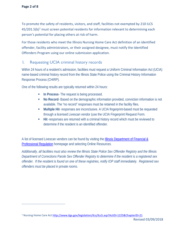$\overline{a}$ 

To promote the safety of residents, visitors, and staff, facilities not exempted by 210 ILCS  $45/201.5(b)<sup>1</sup>$  $45/201.5(b)<sup>1</sup>$  $45/201.5(b)<sup>1</sup>$  must screen potential residents for information relevant to determining each person's potential for placing others at risk of harm.

For those residents who meet the Illinois Nursing Home Care Act definition of an identified offender, facility administrators, or their assigned designee, must notify the Identified Offenders Program using our online submission application.

#### I. Requesting UCIA criminal history records

Within 24 hours of a resident's admission, facilities must request a Uniform Criminal Information Act (UCIA) name-based criminal history record from the Illinois State Police using the Criminal History Information Response Process (CHIRP).

One of the following results are typically returned within 24 hours:

- **In Process** The request is being processed.
- **No Record** Based on the demographic information provided, conviction information is not available. The "no record" responses must be retained in the facility files.
- **Multiple Hit** responses are inconclusive. A UCIA fingerprint-based must be requested through a licensed Livescan vendor (use the UCIA Fingerprint Request Form.
- **Hit** -responses are returned with a criminal history record which must be reviewed to determine if the resident is an identified offender.

A list of licensed Livescan vendors can be found by visiting the *Illinois Department of Financial &* [Professional Regulation](https://www.idfpr.com/) homepage and selecting Online Resources.

*Additionally, all facilities must also review the Illinois State Police Sex Offender Registry and the Illinois Department of Corrections Parole Sex Offender Registry to determine if the resident is a registered sex offender. If the resident is found on one of these registries, notify IOP staff immediately. Registered sex offenders must be placed in private rooms.*

<span id="page-1-0"></span><sup>&</sup>lt;sup>1</sup> Nursing Home Care Act<http://www.ilga.gov/legislation/ilcs/ilcs5.asp?ActID=1225&ChapterID=21>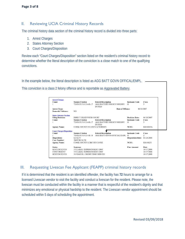### II. Reviewing UCIA Criminal History Records

The criminal history data section of the criminal history record is divided into three parts:

- 1. Arrest Charges
- 2. States Attorney Section
- 3. Court Charges/Disposition

Review each "Court Charges/Disposition" section listed on the resident's criminal history record to determine whether the literal description of the conviction is a close match to one of the qualifying convictions.

In the example below, the literal description is listed as AGG BATT GOVN OFFICAL/EMPL.

This conviction is a class 2 felony offence and is reportable as Aggravated Battery.

| <b>Arrest Charges</b>            |                              |                                    |                          |              |
|----------------------------------|------------------------------|------------------------------------|--------------------------|--------------|
| Count                            | <b>Statute Citation</b>      | <b>Literal Description</b>         | <b>Inchoate Code</b>     | <b>Class</b> |
|                                  | 720 ILCS 5.0/12-4-B-17       | <b>AGG BATTERY/POLICE/SHERIFF/</b> | $\Omega$                 | 3            |
|                                  |                              | <b>DUTIES</b>                      |                          |              |
| <b>Arrest Type:</b>              |                              | Date of Offense:                   |                          | 06/18/2007   |
| <b>Domestic Violence:</b>        | NO.                          |                                    |                          |              |
| <b>States Attorney Section</b>   |                              |                                    |                          |              |
| <b>Filing Decision:</b>          | DIRECT FILED WITH COURT      |                                    | <b>Decision Date:</b>    | 06/18/2007   |
| Count                            | <b>Statute Citation</b>      | <b>Literal Description</b>         | <b>Inchoate Code</b>     | <b>Class</b> |
|                                  | 720 ILCS 5.0/12-4-B-17       | <b>AGG BATTERY/POLICE/SHERIFF/</b> | $\Omega$                 | 3            |
|                                  |                              | <b>DUTIES</b>                      |                          |              |
| <b>Agency Name:</b>              | COOK COUNTY STATE'S ATTORNEY |                                    | NCIC:                    | IL016013A    |
|                                  |                              |                                    |                          |              |
| <b>Court Charges/Disposition</b> |                              |                                    |                          |              |
| Count                            | <b>Statute Citation</b>      | <b>Literal Description</b>         | <b>Inchoate Code</b>     | <b>Class</b> |
|                                  | 720 ILCS 5.0/12-4-B-18       | AGG BATT GOVN OFFICIAL/EMPL        | $\circ$                  | 2            |
|                                  |                              |                                    |                          |              |
| Disposition:                     | <b>GUILTY</b>                |                                    | <b>Disposition Date:</b> | 01/28/2008   |
| <b>Case Number:</b>              | 2007CR136120                 |                                    |                          |              |
| <b>Agency Name:</b>              | COOK COUNTY CIRCUIT COURT    |                                    | NCIC:                    | IL016025J    |
|                                  |                              |                                    |                          |              |
| <b>Status</b>                    | <b>Sentence</b>              |                                    | <b>Fine Amount</b>       | Date         |
| <b>SENTENCED TO</b>              | 3 YEAR(S) IMPRISONMENT-DOC   |                                    |                          | 10/17/2008   |
| CONCURRENT                       | 3 YEAR(S) IMPRISONMENT-DOC   |                                    |                          | 10/17/2008   |

## III. Requesting Livescan Fee Applicant (FEAPP) criminal history records

If it is determined that the resident is an identified offender, the facility has **72** hours to arrange for a licensed Livescan vendor to visit the facility and conduct a livescan for the resident. Please note, the livescan must be conducted within the facility in a manner that is respectful of the resident's dignity and that minimizes any emotional or physical hardship to the resident. The Livescan vendor appointment should be scheduled within 5 days of scheduling the appointment.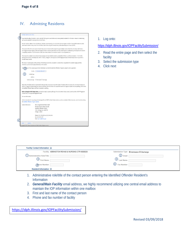# IV. Admitting Residents

| Facility Submission: Entry                                                                                                                                                                                                                                                                                                                                                                                                                                      |  |
|-----------------------------------------------------------------------------------------------------------------------------------------------------------------------------------------------------------------------------------------------------------------------------------------------------------------------------------------------------------------------------------------------------------------------------------------------------------------|--|
| To promote the safety of residents, visitors, and staff; all long-term care facilities must screen potential residents for information relevant to determining<br>each person's potential for placing others at risk of harm.                                                                                                                                                                                                                                   |  |
| For each resident, within 24 hours of admission, facilities not exempted by 210 ILCS 45/201.5b must request a Uniform Criminal Information Act (UCIA)<br>name-based criminal history record from the Illinois State Police using the Criminal History Information Response Process (CHIRP).                                                                                                                                                                     |  |
| If the results of the UCIA name-based criminal history record indicate that the request hit upon multiple records (Multi-Hit), the facility shall initiate a<br>UCIA fingerprint-based request, unless the fingerprint check is waived by the Director of Public Health based on verification by the facility that the resident<br>is completely immobile or that the resident meets other criteria related to the resident's health or lack of potential risk. |  |
| If the results of a resident's UCIA criminal history background reveal that the resident is an identified offender, as defined in Section 1-114.01 of the<br>Nursing Home Care Act, the facility shall, within 72 hours, arrange for a Fee Applicant (FEAPP) fingerprint-based criminal history record inquiry from a<br>licensed livescan vendor                                                                                                               |  |
| The livescan must take place on the premises of the facility and shall be conducted in a manner that is respectful of the resident's dignity and that<br>minimizes any emotional or physical hardship to the resident.                                                                                                                                                                                                                                          |  |
| With Apurs of the Livescan appointment, the facility must notify the Identified Offenders Programs using this online application.                                                                                                                                                                                                                                                                                                                               |  |
| Facility - PLEASE SELECT **<br><b>Facility Type</b>                                                                                                                                                                                                                                                                                                                                                                                                             |  |
| <b>Address</b>                                                                                                                                                                                                                                                                                                                                                                                                                                                  |  |
|                                                                                                                                                                                                                                                                                                                                                                                                                                                                 |  |
| Please note: The facility shall be responsible for taking all steps necessary to ensure the safety of residents while the results of a name-based background<br>check or a fingerprint-based background check are pending; while the results of a request for waiver of a fingerprint-based check are pending; and/or while<br>the Identified Offender Report and Recommendation is pending.                                                                    |  |
| Before clicking the NEXT button below, you must be ready to upload a pdf copy of the UCIA criminal history record, as well as either a FEAPP Fingerprint<br>Consent form, or an approved fingerprint waiver.                                                                                                                                                                                                                                                    |  |
| For more information:                                                                                                                                                                                                                                                                                                                                                                                                                                           |  |
| Links to instructions for requesting and reviewing UCIA and FEAPP criminal history records, as well as a number of other resources, can be found by visiting<br>the Identified Offenders Program website.                                                                                                                                                                                                                                                       |  |
| <b>Contact Information:</b><br>Illinois Department of Public Health<br>Division of Patient Safety & Quality<br>Identified Offenders Program<br>122 S. Michigan Ave. Suite 700<br>Chicago, IL 60603                                                                                                                                                                                                                                                              |  |
| Phone: (312) 793-3913 or (312) 814-2149<br>Fax: (312) 814-2757<br>Email: dph.ios@illinois.gov                                                                                                                                                                                                                                                                                                                                                                   |  |
| CANCEL<br><b>NEXT</b><br>is Department of Public Health All rights reserved                                                                                                                                                                                                                                                                                                                                                                                     |  |

1. Log onto:

<https://idph.illinois.gov/IOPFacilitySubmission/>

- 2. Read the entire page and then select the facility
- 3. Select the submission type
- 4. Click next

| <b>Facility Contact Information</b> |                                                |                         |                                         |
|-------------------------------------|------------------------------------------------|-------------------------|-----------------------------------------|
|                                     | Facility ABBINGTON REHAB & NURSING CTR 6000020 |                         | Submission Type @ Admission O Discharge |
| 1 Administrative Role/Title         |                                                | 2 Email                 |                                         |
| $\bigcirc$ First Name               |                                                | (3)<br><b>Last Name</b> |                                         |
| (4) one Number                      |                                                | $(4)$ Fax Number        |                                         |
| Resident Information <sup>@</sup>   |                                                |                         |                                         |

- 1. Administrative role/title of the contact person entering the Identified Offender Resident's Information
- 2. *General/Main Facility* email address, we highly recommend utilizing one central email address to maintain the IOP information within one mailbox
- 3. First and last name of the contact person
- 4. Phone and fax number of facility

<https://idph.illinois.gov/IOPFacilitySubmission/>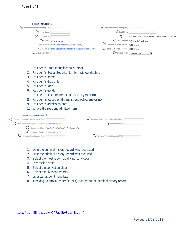| <b>Resident Information</b> @         |                                                                         |                                                  |                                                                     |
|---------------------------------------|-------------------------------------------------------------------------|--------------------------------------------------|---------------------------------------------------------------------|
| (1) State Identification Number (SID) |                                                                         | (2) Social Security Number (SSN)                 |                                                                     |
| (3)<br><b>First Name</b>              |                                                                         | 3) Last Name                                     |                                                                     |
| 4) Date Of Birth                      |                                                                         |                                                  | (5) Race O Asian/Pacific Islander O Black O Native American O White |
|                                       | 6 Gender O Female O Male                                                |                                                  | 1 Sex Offender O Yes O No O Unknown                                 |
|                                       | Check SOR: Illinois State Police Sex Offender Registry                  | $\circleds$<br>Resident is listed on SOR ONoOYes |                                                                     |
|                                       | Check PSOR: Illinois Dept. of Corrections Parolee Sex Offender Registry | <b>(8)</b> Resident is listed on PSOR ○No○Yes    |                                                                     |
| (9)<br><b>Admission Date</b>          |                                                                         | 10 Admitted From <b>**</b> Please Select **      |                                                                     |

- 1. Resident's State Identification Number
- 2. Resident's Social Security Number, without dashes
- 3. Resident's name
- 4. Resident's date of birth
- 5. Resident's race
- 6. Resident's gender
- 7. Resident's sex offender status, select **yes or no**
- 8. Resident checked on the registries, select **yes or no**
- 9. Resident's admission date
- 10. Where the resident admitted from

| Criminal History Information @                      |                                           |
|-----------------------------------------------------|-------------------------------------------|
| Criminal History Record Request Date                | (2) Criminal History Record Received Date |
| Most recent qualifying conviction   "PLEASE SELECT" | (4) Disposition Date                      |
|                                                     | (5) Conviction Class OAOBOCOMOXOZO102O304 |
| 6 Livescan Vendor - PLEASE SELECT -                 |                                           |
| U Livescan Appointment Date                         | <b>8</b> Tracking Control Number (TCN)    |

- 1. Date the criminal history record was requested
- 2. Date the criminal history record was received
- 3. Select the most recent qualifying conviction
- 4. Disposition date
- 5. Select the conviction class
- 6. Select the Livescan vendor
- 7. Livescan appointment date
- 8. Tracking Control Number (TCN #) located on the criminal history record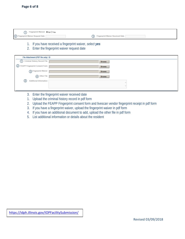① 2 Fingerprint Waiver Request Date (3) Fingerprint Waiver Received Date

1. If you have received a fingerprint waiver, *select yes*

#### 2. Enter the fingerprint waiver request date

| File Attachment (PDF file only)       |        |  |
|---------------------------------------|--------|--|
| Criminal History Record File  <br>(1) | Browse |  |
| (2) FEAPP Fingerprint Consent Form    | Browse |  |
| 3 <sup>Fingerprint Waiver</sup>       | Browse |  |
| 4 Other File                          | Browse |  |
| <b>Additional Information</b><br>(5)  |        |  |
|                                       |        |  |
|                                       |        |  |

- 3. Enter the fingerprint waiver received date
- 1. Upload the criminal history record in pdf form
- 2. Upload the FEAPP Fingerprint consent form and livescan vendor fingerprint receipt in pdf form
- 3. If you have a fingerprint waiver, upload the fingerprint waiver in pdf form
- 4. If you have an additional document to add, upload the other file in pdf form
- 5. List additional information or details about the resident

<https://idph.illinois.gov/IOPFacilitySubmission/>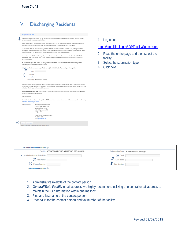# V. Discharging Residents

| Facility Submission: Entry                                  |                                                                                                                                                                                                                                                                                                                                                                                                                                                                 |  |
|-------------------------------------------------------------|-----------------------------------------------------------------------------------------------------------------------------------------------------------------------------------------------------------------------------------------------------------------------------------------------------------------------------------------------------------------------------------------------------------------------------------------------------------------|--|
| each person's potential for placing others at risk of harm. | To promote the safety of residents, visitors, and staff; all long-term care facilities must screen potential residents for information relevant to determining                                                                                                                                                                                                                                                                                                  |  |
|                                                             | For each resident, within 24 hours of admission, facilities not exempted by 210 ILCS 45/201.5b must request a Uniform Criminal Information Act (UCIA)<br>name-based criminal history record from the Illinois State Police using the Criminal History Information Response Process (CHIRP).                                                                                                                                                                     |  |
|                                                             | If the results of the UCIA name-based criminal history record indicate that the request hit upon multiple records (Multi-Hit), the facility shall initiate a<br>UCIA fingerprint-based request, unless the fingerprint check is waived by the Director of Public Health based on verification by the facility that the resident<br>is completely immobile or that the resident meets other criteria related to the resident's health or lack of potential risk. |  |
| licensed livescan vendor.                                   | If the results of a resident's UCIA criminal history background reveal that the resident is an identified offender, as defined in Section 1-114.01 of the<br>Nursing Home Care Act, the facility shall, within 72 hours, arrange for a Fee Applicant (FEAPP) fingerprint-based criminal history record inquiry from a                                                                                                                                           |  |
|                                                             | The livescan must take place on the premises of the facility and shall be conducted in a manner that is respectful of the resident's dignity and that<br>minimizes any emotional or physical hardship to the resident.                                                                                                                                                                                                                                          |  |
|                                                             | Within 24 hours of the Livescan appointment, the facility must notify the Identified Offenders Programs using this online application.<br>Facility - PLEASE SELECT **                                                                                                                                                                                                                                                                                           |  |
| <b>Facility Type</b><br><b>Address</b>                      | Submission Type  O Admission  O Discharge                                                                                                                                                                                                                                                                                                                                                                                                                       |  |
|                                                             | Please note: The facility shall be responsible for taking all steps necessary to ensure the safety of residents while the results of a name-based background<br>check or a fingerprint-based background check are pending; while the results of a request for waiver of a fingerprint-based check are pending; and/or while<br>the Identified Offender Report and Recommendation is pending.                                                                    |  |
| Consent form, or an approved fingerprint waiver.            | Before clicking the NEXT button below, you must be ready to upload a pdf copy of the UCIA criminal history record, as well as either a FEAPP Fingerprint                                                                                                                                                                                                                                                                                                        |  |
| For more information:                                       |                                                                                                                                                                                                                                                                                                                                                                                                                                                                 |  |
| the Identified Offenders Program website.                   | Links to instructions for requesting and reviewing UCIA and FEAPP criminal history records, as well as a number of other resources, can be found by visiting                                                                                                                                                                                                                                                                                                    |  |
| <b>Contact Information:</b>                                 | Illinois Department of Public Health<br>Division of Patient Safety & Ouality<br>Identified Offenders Program<br>122 S. Michigan Ave. Suite 700<br>Chicago, IL 60603                                                                                                                                                                                                                                                                                             |  |
|                                                             | Phone: (312) 793-3913 or (312) 814-2149<br>Fax: (312) 814-2757<br>Email: dph.ios@illinois.gov                                                                                                                                                                                                                                                                                                                                                                   |  |
| CANCEL<br><b>NEXT</b>                                       | Copyright © 2017 Illinois Department of Public Health. All rights reserved.                                                                                                                                                                                                                                                                                                                                                                                     |  |
|                                                             |                                                                                                                                                                                                                                                                                                                                                                                                                                                                 |  |

1. Log onto:

<https://idph.illinois.gov/IOPFacilitySubmission/>

- 2. Read the entire page and then select the facility
- 3. Select the submission type
- 4. Click next

| Facility Contact Information @   |                                                |                                   |                                            |
|----------------------------------|------------------------------------------------|-----------------------------------|--------------------------------------------|
|                                  | Facility ABBINGTON REHAB & NURSING CTR 6000020 |                                   | Submission Type  i Admission  iD Discharge |
| <b>Administrative Role/Title</b> |                                                | $^{\circledR}$<br>Email           |                                            |
| 3) First Name                    |                                                | $\circled{3}$<br><b>Last Name</b> |                                            |
| (4)<br><b>Phone Number</b>       |                                                | (4)<br><b>Fax Number</b>          |                                            |
| Resident Information @           |                                                |                                   |                                            |

- 1. Administrative role/title of the contact person
- 2. *General/Main Facility* email address, we highly recommend utilizing one central email address to maintain the IOP information within one mailbox
- 3. First and last name of the contact person
- 4. Phone/Ext for the contact person and fax number of the facility